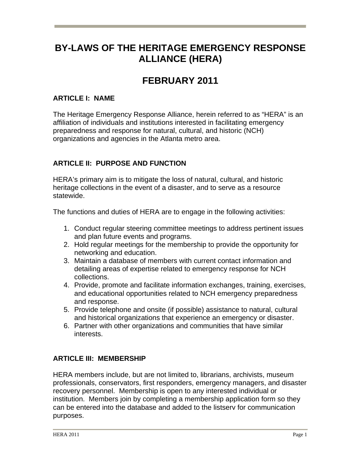# **BY-LAWS OF THE HERITAGE EMERGENCY RESPONSE ALLIANCE (HERA)**

# **FEBRUARY 2011**

## **ARTICLE I: NAME**

The Heritage Emergency Response Alliance, herein referred to as "HERA" is an affiliation of individuals and institutions interested in facilitating emergency preparedness and response for natural, cultural, and historic (NCH) organizations and agencies in the Atlanta metro area.

## **ARTICLE II: PURPOSE AND FUNCTION**

HERA's primary aim is to mitigate the loss of natural, cultural, and historic heritage collections in the event of a disaster, and to serve as a resource statewide.

The functions and duties of HERA are to engage in the following activities:

- 1. Conduct regular steering committee meetings to address pertinent issues and plan future events and programs.
- 2. Hold regular meetings for the membership to provide the opportunity for networking and education.
- 3. Maintain a database of members with current contact information and detailing areas of expertise related to emergency response for NCH collections.
- 4. Provide, promote and facilitate information exchanges, training, exercises, and educational opportunities related to NCH emergency preparedness and response.
- 5. Provide telephone and onsite (if possible) assistance to natural, cultural and historical organizations that experience an emergency or disaster.
- 6. Partner with other organizations and communities that have similar interests.

## **ARTICLE III: MEMBERSHIP**

HERA members include, but are not limited to, librarians, archivists, museum professionals, conservators, first responders, emergency managers, and disaster recovery personnel. Membership is open to any interested individual or institution. Members join by completing a membership application form so they can be entered into the database and added to the listserv for communication purposes.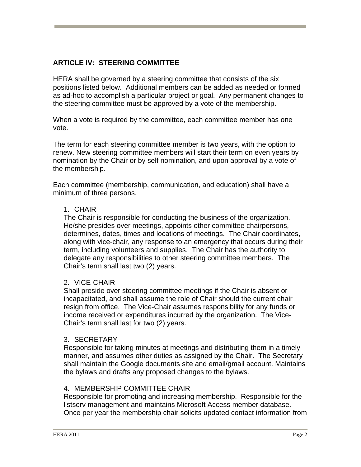## **ARTICLE IV: STEERING COMMITTEE**

HERA shall be governed by a steering committee that consists of the six positions listed below. Additional members can be added as needed or formed as ad-hoc to accomplish a particular project or goal. Any permanent changes to the steering committee must be approved by a vote of the membership.

When a vote is required by the committee, each committee member has one vote.

The term for each steering committee member is two years, with the option to renew. New steering committee members will start their term on even years by nomination by the Chair or by self nomination, and upon approval by a vote of the membership.

Each committee (membership, communication, and education) shall have a minimum of three persons.

#### 1. CHAIR

The Chair is responsible for conducting the business of the organization. He/she presides over meetings, appoints other committee chairpersons, determines, dates, times and locations of meetings. The Chair coordinates, along with vice-chair, any response to an emergency that occurs during their term, including volunteers and supplies. The Chair has the authority to delegate any responsibilities to other steering committee members. The Chair's term shall last two (2) years.

#### 2. VICE-CHAIR

Shall preside over steering committee meetings if the Chair is absent or incapacitated, and shall assume the role of Chair should the current chair resign from office. The Vice-Chair assumes responsibility for any funds or income received or expenditures incurred by the organization. The Vice-Chair's term shall last for two (2) years.

#### 3. SECRETARY

Responsible for taking minutes at meetings and distributing them in a timely manner, and assumes other duties as assigned by the Chair. The Secretary shall maintain the Google documents site and email/gmail account. Maintains the bylaws and drafts any proposed changes to the bylaws.

#### 4. MEMBERSHIP COMMITTEE CHAIR

Responsible for promoting and increasing membership. Responsible for the listserv management and maintains Microsoft Access member database. Once per year the membership chair solicits updated contact information from